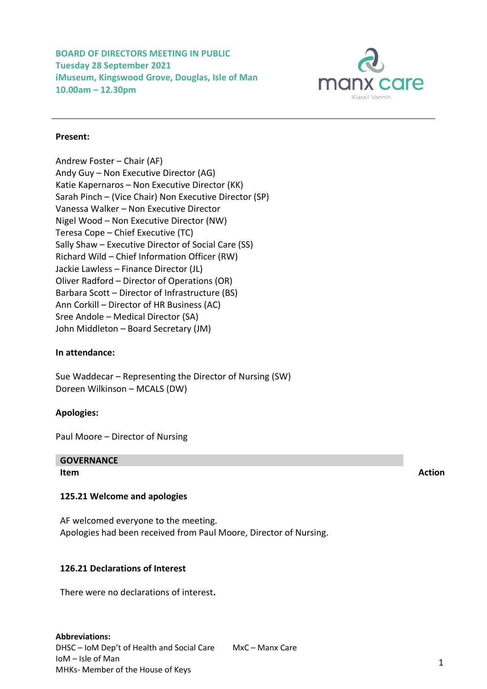**BOARD OF DIRECTORS MEETING IN PUBLIC Tuesday 28 September 2021 iMuseum, Kingswood Grove, Douglas, Isle of Man 10.00am – 12.30pm**



# **Present:**

Andrew Foster – Chair (AF) Andy Guy – Non Executive Director (AG) Katie Kapernaros – Non Executive Director (KK) Sarah Pinch – (Vice Chair) Non Executive Director (SP) Vanessa Walker – Non Executive Director Nigel Wood – Non Executive Director (NW) Teresa Cope – Chief Executive (TC) Sally Shaw – Executive Director of Social Care (SS) Richard Wild – Chief Information Officer (RW) Jackie Lawless – Finance Director (JL) Oliver Radford – Director of Operations (OR) Barbara Scott – Director of Infrastructure (BS) Ann Corkill – Director of HR Business (AC) Sree Andole – Medical Director (SA) John Middleton – Board Secretary (JM)

# **In attendance:**

Sue Waddecar – Representing the Director of Nursing (SW) Doreen Wilkinson – MCALS (DW)

# **Apologies:**

Paul Moore – Director of Nursing

# **GOVERNANCE**

# **125.21 Welcome and apologies**

AF welcomed everyone to the meeting. Apologies had been received from Paul Moore, Director of Nursing.

# **126.21 Declarations of Interest**

There were no declarations of interest**.** 

**Item Action**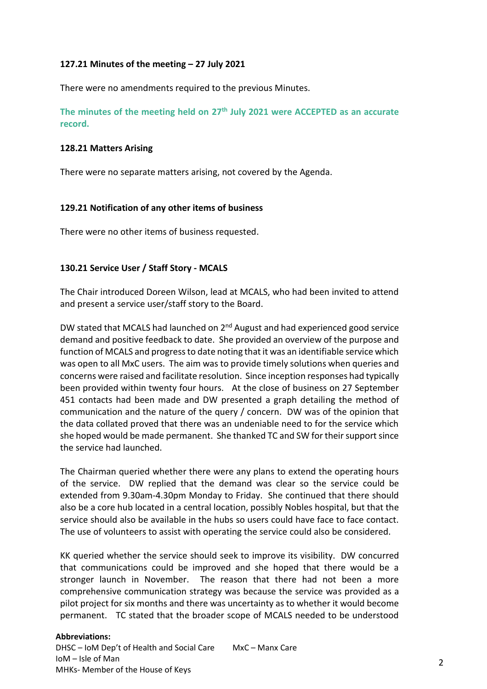# **127.21 Minutes of the meeting – 27 July 2021**

There were no amendments required to the previous Minutes.

**The minutes of the meeting held on 27 th July 2021 were ACCEPTED as an accurate record.**

# **128.21 Matters Arising**

There were no separate matters arising, not covered by the Agenda.

# **129.21 Notification of any other items of business**

There were no other items of business requested.

# **130.21 Service User / Staff Story - MCALS**

The Chair introduced Doreen Wilson, lead at MCALS, who had been invited to attend and present a service user/staff story to the Board.

DW stated that MCALS had launched on  $2<sup>nd</sup>$  August and had experienced good service demand and positive feedback to date. She provided an overview of the purpose and function of MCALS and progress to date noting that it was an identifiable service which was open to all MxC users. The aim was to provide timely solutions when queries and concerns were raised and facilitate resolution. Since inception responses had typically been provided within twenty four hours. At the close of business on 27 September 451 contacts had been made and DW presented a graph detailing the method of communication and the nature of the query / concern. DW was of the opinion that the data collated proved that there was an undeniable need to for the service which she hoped would be made permanent. She thanked TC and SW for their support since the service had launched.

The Chairman queried whether there were any plans to extend the operating hours of the service. DW replied that the demand was clear so the service could be extended from 9.30am-4.30pm Monday to Friday. She continued that there should also be a core hub located in a central location, possibly Nobles hospital, but that the service should also be available in the hubs so users could have face to face contact. The use of volunteers to assist with operating the service could also be considered.

KK queried whether the service should seek to improve its visibility. DW concurred that communications could be improved and she hoped that there would be a stronger launch in November. The reason that there had not been a more comprehensive communication strategy was because the service was provided as a pilot project for six months and there was uncertainty as to whether it would become permanent. TC stated that the broader scope of MCALS needed to be understood

# **Abbreviations:**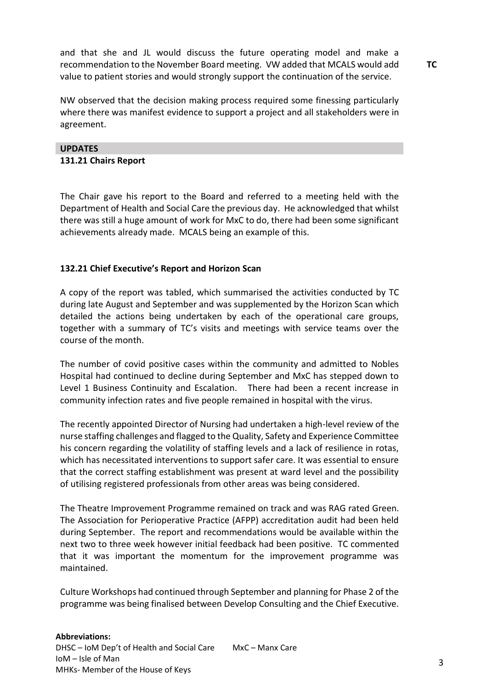and that she and JL would discuss the future operating model and make a recommendation to the November Board meeting. VW added that MCALS would add value to patient stories and would strongly support the continuation of the service.

NW observed that the decision making process required some finessing particularly where there was manifest evidence to support a project and all stakeholders were in agreement.

# **UPDATES**

## **131.21 Chairs Report**

The Chair gave his report to the Board and referred to a meeting held with the Department of Health and Social Care the previous day. He acknowledged that whilst there was still a huge amount of work for MxC to do, there had been some significant achievements already made. MCALS being an example of this.

# **132.21 Chief Executive's Report and Horizon Scan**

A copy of the report was tabled, which summarised the activities conducted by TC during late August and September and was supplemented by the Horizon Scan which detailed the actions being undertaken by each of the operational care groups, together with a summary of TC's visits and meetings with service teams over the course of the month.

The number of covid positive cases within the community and admitted to Nobles Hospital had continued to decline during September and MxC has stepped down to Level 1 Business Continuity and Escalation. There had been a recent increase in community infection rates and five people remained in hospital with the virus.

The recently appointed Director of Nursing had undertaken a high-level review of the nurse staffing challenges and flagged to the Quality, Safety and Experience Committee his concern regarding the volatility of staffing levels and a lack of resilience in rotas, which has necessitated interventions to support safer care. It was essential to ensure that the correct staffing establishment was present at ward level and the possibility of utilising registered professionals from other areas was being considered.

The Theatre Improvement Programme remained on track and was RAG rated Green. The Association for Perioperative Practice (AFPP) accreditation audit had been held during September. The report and recommendations would be available within the next two to three week however initial feedback had been positive. TC commented that it was important the momentum for the improvement programme was maintained.

Culture Workshops had continued through September and planning for Phase 2 of the programme was being finalised between Develop Consulting and the Chief Executive.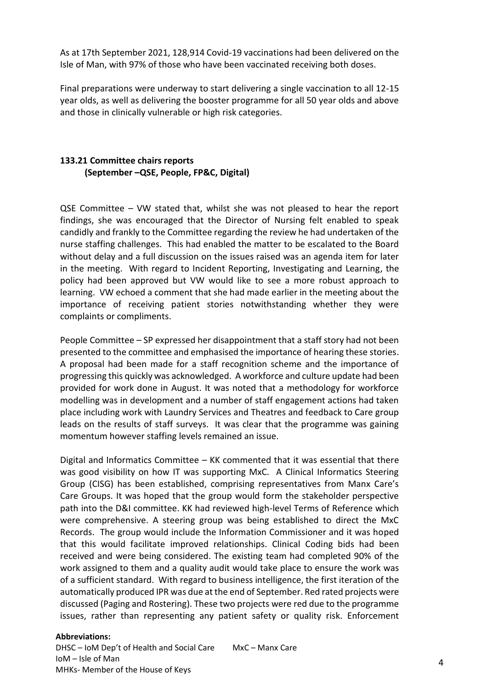As at 17th September 2021, 128,914 Covid-19 vaccinations had been delivered on the Isle of Man, with 97% of those who have been vaccinated receiving both doses.

Final preparations were underway to start delivering a single vaccination to all 12-15 year olds, as well as delivering the booster programme for all 50 year olds and above and those in clinically vulnerable or high risk categories.

# **133.21 Committee chairs reports (September –QSE, People, FP&C, Digital)**

QSE Committee – VW stated that, whilst she was not pleased to hear the report findings, she was encouraged that the Director of Nursing felt enabled to speak candidly and frankly to the Committee regarding the review he had undertaken of the nurse staffing challenges. This had enabled the matter to be escalated to the Board without delay and a full discussion on the issues raised was an agenda item for later in the meeting. With regard to Incident Reporting, Investigating and Learning, the policy had been approved but VW would like to see a more robust approach to learning. VW echoed a comment that she had made earlier in the meeting about the importance of receiving patient stories notwithstanding whether they were complaints or compliments.

People Committee – SP expressed her disappointment that a staff story had not been presented to the committee and emphasised the importance of hearing these stories. A proposal had been made for a staff recognition scheme and the importance of progressing this quickly was acknowledged. A workforce and culture update had been provided for work done in August. It was noted that a methodology for workforce modelling was in development and a number of staff engagement actions had taken place including work with Laundry Services and Theatres and feedback to Care group leads on the results of staff surveys. It was clear that the programme was gaining momentum however staffing levels remained an issue.

Digital and Informatics Committee – KK commented that it was essential that there was good visibility on how IT was supporting MxC. A Clinical Informatics Steering Group (CISG) has been established, comprising representatives from Manx Care's Care Groups. It was hoped that the group would form the stakeholder perspective path into the D&I committee. KK had reviewed high-level Terms of Reference which were comprehensive. A steering group was being established to direct the MxC Records. The group would include the Information Commissioner and it was hoped that this would facilitate improved relationships. Clinical Coding bids had been received and were being considered. The existing team had completed 90% of the work assigned to them and a quality audit would take place to ensure the work was of a sufficient standard. With regard to business intelligence, the first iteration of the automatically produced IPR was due at the end of September. Red rated projects were discussed (Paging and Rostering). These two projects were red due to the programme issues, rather than representing any patient safety or quality risk. Enforcement

# **Abbreviations:**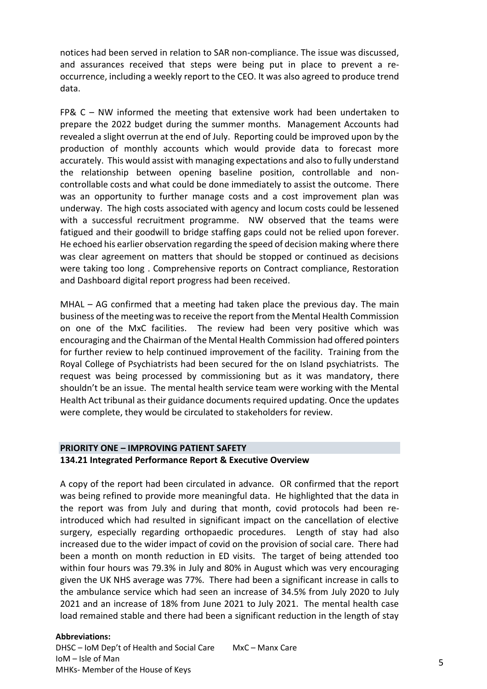notices had been served in relation to SAR non-compliance. The issue was discussed, and assurances received that steps were being put in place to prevent a reoccurrence, including a weekly report to the CEO. It was also agreed to produce trend data.

FP& C – NW informed the meeting that extensive work had been undertaken to prepare the 2022 budget during the summer months. Management Accounts had revealed a slight overrun at the end of July. Reporting could be improved upon by the production of monthly accounts which would provide data to forecast more accurately. This would assist with managing expectations and also to fully understand the relationship between opening baseline position, controllable and noncontrollable costs and what could be done immediately to assist the outcome. There was an opportunity to further manage costs and a cost improvement plan was underway. The high costs associated with agency and locum costs could be lessened with a successful recruitment programme. NW observed that the teams were fatigued and their goodwill to bridge staffing gaps could not be relied upon forever. He echoed his earlier observation regarding the speed of decision making where there was clear agreement on matters that should be stopped or continued as decisions were taking too long . Comprehensive reports on Contract compliance, Restoration and Dashboard digital report progress had been received.

MHAL – AG confirmed that a meeting had taken place the previous day. The main business of the meeting was to receive the report from the Mental Health Commission on one of the MxC facilities. The review had been very positive which was encouraging and the Chairman of the Mental Health Commission had offered pointers for further review to help continued improvement of the facility. Training from the Royal College of Psychiatrists had been secured for the on Island psychiatrists. The request was being processed by commissioning but as it was mandatory, there shouldn't be an issue. The mental health service team were working with the Mental Health Act tribunal as their guidance documents required updating. Once the updates were complete, they would be circulated to stakeholders for review.

# **PRIORITY ONE – IMPROVING PATIENT SAFETY 134.21 Integrated Performance Report & Executive Overview**

A copy of the report had been circulated in advance. OR confirmed that the report was being refined to provide more meaningful data. He highlighted that the data in the report was from July and during that month, covid protocols had been reintroduced which had resulted in significant impact on the cancellation of elective surgery, especially regarding orthopaedic procedures. Length of stay had also increased due to the wider impact of covid on the provision of social care. There had been a month on month reduction in ED visits. The target of being attended too within four hours was 79.3% in July and 80% in August which was very encouraging given the UK NHS average was 77%. There had been a significant increase in calls to the ambulance service which had seen an increase of 34.5% from July 2020 to July 2021 and an increase of 18% from June 2021 to July 2021. The mental health case load remained stable and there had been a significant reduction in the length of stay

# **Abbreviations:**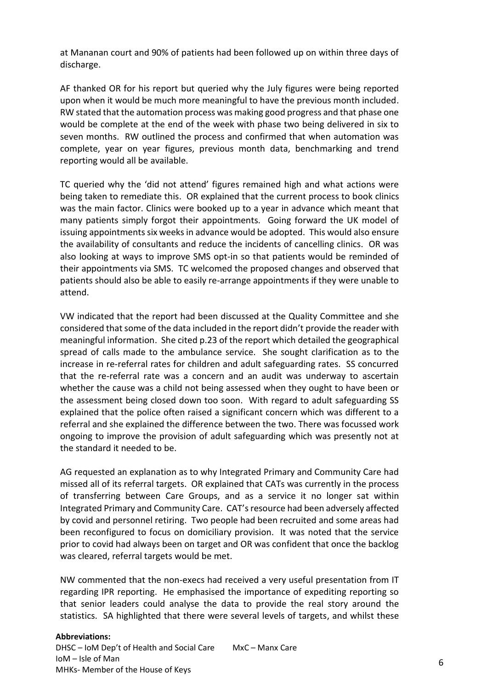at Mananan court and 90% of patients had been followed up on within three days of discharge.

AF thanked OR for his report but queried why the July figures were being reported upon when it would be much more meaningful to have the previous month included. RW stated that the automation process was making good progress and that phase one would be complete at the end of the week with phase two being delivered in six to seven months. RW outlined the process and confirmed that when automation was complete, year on year figures, previous month data, benchmarking and trend reporting would all be available.

TC queried why the 'did not attend' figures remained high and what actions were being taken to remediate this. OR explained that the current process to book clinics was the main factor. Clinics were booked up to a year in advance which meant that many patients simply forgot their appointments. Going forward the UK model of issuing appointments six weeks in advance would be adopted. This would also ensure the availability of consultants and reduce the incidents of cancelling clinics. OR was also looking at ways to improve SMS opt-in so that patients would be reminded of their appointments via SMS. TC welcomed the proposed changes and observed that patients should also be able to easily re-arrange appointments if they were unable to attend.

VW indicated that the report had been discussed at the Quality Committee and she considered that some of the data included in the report didn't provide the reader with meaningful information. She cited p.23 of the report which detailed the geographical spread of calls made to the ambulance service. She sought clarification as to the increase in re-referral rates for children and adult safeguarding rates. SS concurred that the re-referral rate was a concern and an audit was underway to ascertain whether the cause was a child not being assessed when they ought to have been or the assessment being closed down too soon. With regard to adult safeguarding SS explained that the police often raised a significant concern which was different to a referral and she explained the difference between the two. There was focussed work ongoing to improve the provision of adult safeguarding which was presently not at the standard it needed to be.

AG requested an explanation as to why Integrated Primary and Community Care had missed all of its referral targets. OR explained that CATs was currently in the process of transferring between Care Groups, and as a service it no longer sat within Integrated Primary and Community Care. CAT's resource had been adversely affected by covid and personnel retiring. Two people had been recruited and some areas had been reconfigured to focus on domiciliary provision. It was noted that the service prior to covid had always been on target and OR was confident that once the backlog was cleared, referral targets would be met.

NW commented that the non-execs had received a very useful presentation from IT regarding IPR reporting. He emphasised the importance of expediting reporting so that senior leaders could analyse the data to provide the real story around the statistics. SA highlighted that there were several levels of targets, and whilst these

### **Abbreviations:**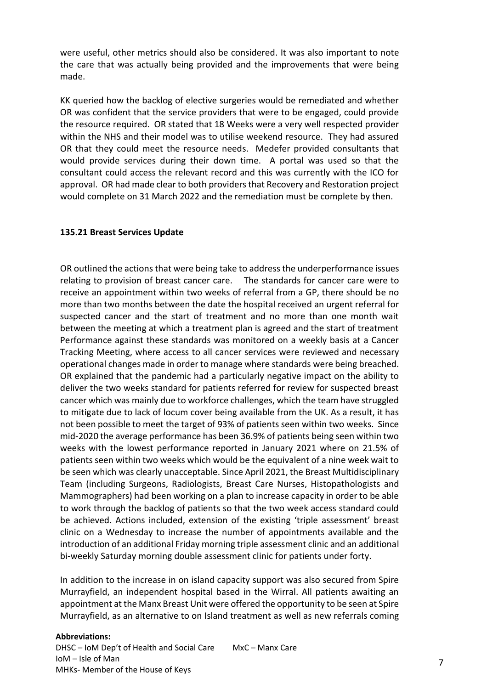were useful, other metrics should also be considered. It was also important to note the care that was actually being provided and the improvements that were being made.

KK queried how the backlog of elective surgeries would be remediated and whether OR was confident that the service providers that were to be engaged, could provide the resource required. OR stated that 18 Weeks were a very well respected provider within the NHS and their model was to utilise weekend resource. They had assured OR that they could meet the resource needs. Medefer provided consultants that would provide services during their down time. A portal was used so that the consultant could access the relevant record and this was currently with the ICO for approval. OR had made clear to both providers that Recovery and Restoration project would complete on 31 March 2022 and the remediation must be complete by then.

# **135.21 Breast Services Update**

OR outlined the actions that were being take to address the underperformance issues relating to provision of breast cancer care. The standards for cancer care were to receive an appointment within two weeks of referral from a GP, there should be no more than two months between the date the hospital received an urgent referral for suspected cancer and the start of treatment and no more than one month wait between the meeting at which a treatment plan is agreed and the start of treatment Performance against these standards was monitored on a weekly basis at a Cancer Tracking Meeting, where access to all cancer services were reviewed and necessary operational changes made in order to manage where standards were being breached. OR explained that the pandemic had a particularly negative impact on the ability to deliver the two weeks standard for patients referred for review for suspected breast cancer which was mainly due to workforce challenges, which the team have struggled to mitigate due to lack of locum cover being available from the UK. As a result, it has not been possible to meet the target of 93% of patients seen within two weeks. Since mid-2020 the average performance has been 36.9% of patients being seen within two weeks with the lowest performance reported in January 2021 where on 21.5% of patients seen within two weeks which would be the equivalent of a nine week wait to be seen which was clearly unacceptable. Since April 2021, the Breast Multidisciplinary Team (including Surgeons, Radiologists, Breast Care Nurses, Histopathologists and Mammographers) had been working on a plan to increase capacity in order to be able to work through the backlog of patients so that the two week access standard could be achieved. Actions included, extension of the existing 'triple assessment' breast clinic on a Wednesday to increase the number of appointments available and the introduction of an additional Friday morning triple assessment clinic and an additional bi-weekly Saturday morning double assessment clinic for patients under forty.

In addition to the increase in on island capacity support was also secured from Spire Murrayfield, an independent hospital based in the Wirral. All patients awaiting an appointment at the Manx Breast Unit were offered the opportunity to be seen at Spire Murrayfield, as an alternative to on Island treatment as well as new referrals coming

#### **Abbreviations:**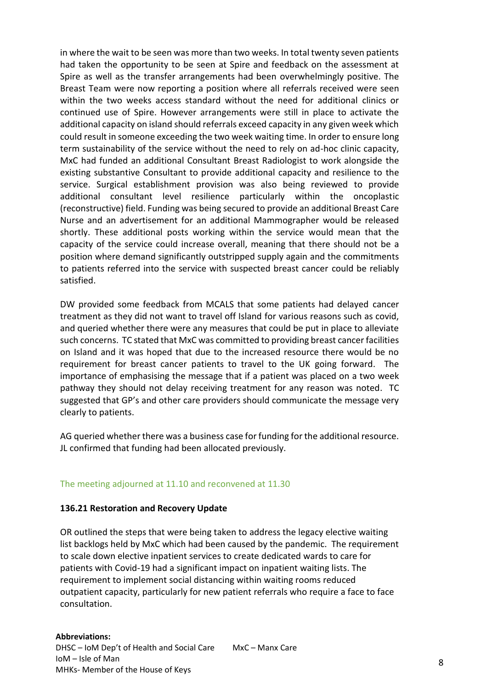in where the wait to be seen was more than two weeks. In total twenty seven patients had taken the opportunity to be seen at Spire and feedback on the assessment at Spire as well as the transfer arrangements had been overwhelmingly positive. The Breast Team were now reporting a position where all referrals received were seen within the two weeks access standard without the need for additional clinics or continued use of Spire. However arrangements were still in place to activate the additional capacity on island should referrals exceed capacity in any given week which could result in someone exceeding the two week waiting time. In order to ensure long term sustainability of the service without the need to rely on ad-hoc clinic capacity, MxC had funded an additional Consultant Breast Radiologist to work alongside the existing substantive Consultant to provide additional capacity and resilience to the service. Surgical establishment provision was also being reviewed to provide additional consultant level resilience particularly within the oncoplastic (reconstructive) field. Funding was being secured to provide an additional Breast Care Nurse and an advertisement for an additional Mammographer would be released shortly. These additional posts working within the service would mean that the capacity of the service could increase overall, meaning that there should not be a position where demand significantly outstripped supply again and the commitments to patients referred into the service with suspected breast cancer could be reliably satisfied.

DW provided some feedback from MCALS that some patients had delayed cancer treatment as they did not want to travel off Island for various reasons such as covid, and queried whether there were any measures that could be put in place to alleviate such concerns. TC stated that MxC was committed to providing breast cancer facilities on Island and it was hoped that due to the increased resource there would be no requirement for breast cancer patients to travel to the UK going forward. The importance of emphasising the message that if a patient was placed on a two week pathway they should not delay receiving treatment for any reason was noted. TC suggested that GP's and other care providers should communicate the message very clearly to patients.

AG queried whether there was a business case for funding for the additional resource. JL confirmed that funding had been allocated previously.

# The meeting adjourned at 11.10 and reconvened at 11.30

# **136.21 Restoration and Recovery Update**

OR outlined the steps that were being taken to address the legacy elective waiting list backlogs held by MxC which had been caused by the pandemic. The requirement to scale down elective inpatient services to create dedicated wards to care for patients with Covid-19 had a significant impact on inpatient waiting lists. The requirement to implement social distancing within waiting rooms reduced outpatient capacity, particularly for new patient referrals who require a face to face consultation.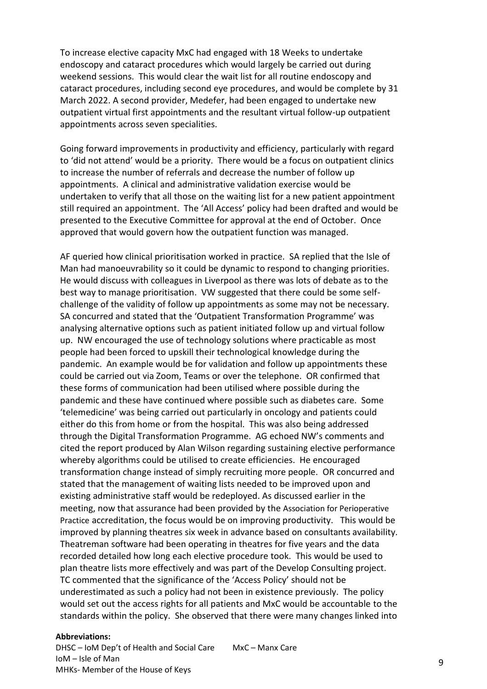To increase elective capacity MxC had engaged with 18 Weeks to undertake endoscopy and cataract procedures which would largely be carried out during weekend sessions. This would clear the wait list for all routine endoscopy and cataract procedures, including second eye procedures, and would be complete by 31 March 2022. A second provider, Medefer, had been engaged to undertake new outpatient virtual first appointments and the resultant virtual follow-up outpatient appointments across seven specialities.

Going forward improvements in productivity and efficiency, particularly with regard to 'did not attend' would be a priority. There would be a focus on outpatient clinics to increase the number of referrals and decrease the number of follow up appointments. A clinical and administrative validation exercise would be undertaken to verify that all those on the waiting list for a new patient appointment still required an appointment. The 'All Access' policy had been drafted and would be presented to the Executive Committee for approval at the end of October. Once approved that would govern how the outpatient function was managed.

AF queried how clinical prioritisation worked in practice. SA replied that the Isle of Man had manoeuvrability so it could be dynamic to respond to changing priorities. He would discuss with colleagues in Liverpool as there was lots of debate as to the best way to manage prioritisation. VW suggested that there could be some selfchallenge of the validity of follow up appointments as some may not be necessary. SA concurred and stated that the 'Outpatient Transformation Programme' was analysing alternative options such as patient initiated follow up and virtual follow up. NW encouraged the use of technology solutions where practicable as most people had been forced to upskill their technological knowledge during the pandemic. An example would be for validation and follow up appointments these could be carried out via Zoom, Teams or over the telephone. OR confirmed that these forms of communication had been utilised where possible during the pandemic and these have continued where possible such as diabetes care. Some 'telemedicine' was being carried out particularly in oncology and patients could either do this from home or from the hospital. This was also being addressed through the Digital Transformation Programme. AG echoed NW's comments and cited the report produced by Alan Wilson regarding sustaining elective performance whereby algorithms could be utilised to create efficiencies. He encouraged transformation change instead of simply recruiting more people. OR concurred and stated that the management of waiting lists needed to be improved upon and existing administrative staff would be redeployed. As discussed earlier in the meeting, now that assurance had been provided by the Association for Perioperative Practice accreditation, the focus would be on improving productivity. This would be improved by planning theatres six week in advance based on consultants availability. Theatreman software had been operating in theatres for five years and the data recorded detailed how long each elective procedure took. This would be used to plan theatre lists more effectively and was part of the Develop Consulting project. TC commented that the significance of the 'Access Policy' should not be underestimated as such a policy had not been in existence previously. The policy would set out the access rights for all patients and MxC would be accountable to the standards within the policy. She observed that there were many changes linked into

#### **Abbreviations:**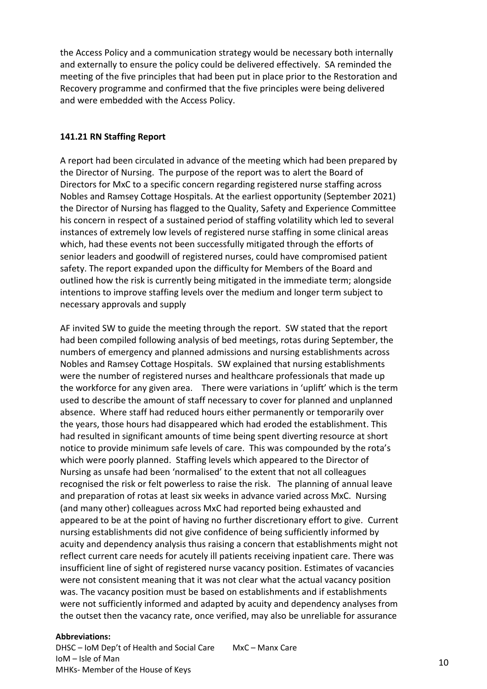the Access Policy and a communication strategy would be necessary both internally and externally to ensure the policy could be delivered effectively. SA reminded the meeting of the five principles that had been put in place prior to the Restoration and Recovery programme and confirmed that the five principles were being delivered and were embedded with the Access Policy.

# **141.21 RN Staffing Report**

A report had been circulated in advance of the meeting which had been prepared by the Director of Nursing. The purpose of the report was to alert the Board of Directors for MxC to a specific concern regarding registered nurse staffing across Nobles and Ramsey Cottage Hospitals. At the earliest opportunity (September 2021) the Director of Nursing has flagged to the Quality, Safety and Experience Committee his concern in respect of a sustained period of staffing volatility which led to several instances of extremely low levels of registered nurse staffing in some clinical areas which, had these events not been successfully mitigated through the efforts of senior leaders and goodwill of registered nurses, could have compromised patient safety. The report expanded upon the difficulty for Members of the Board and outlined how the risk is currently being mitigated in the immediate term; alongside intentions to improve staffing levels over the medium and longer term subject to necessary approvals and supply

AF invited SW to guide the meeting through the report. SW stated that the report had been compiled following analysis of bed meetings, rotas during September, the numbers of emergency and planned admissions and nursing establishments across Nobles and Ramsey Cottage Hospitals. SW explained that nursing establishments were the number of registered nurses and healthcare professionals that made up the workforce for any given area. There were variations in 'uplift' which is the term used to describe the amount of staff necessary to cover for planned and unplanned absence. Where staff had reduced hours either permanently or temporarily over the years, those hours had disappeared which had eroded the establishment. This had resulted in significant amounts of time being spent diverting resource at short notice to provide minimum safe levels of care. This was compounded by the rota's which were poorly planned. Staffing levels which appeared to the Director of Nursing as unsafe had been 'normalised' to the extent that not all colleagues recognised the risk or felt powerless to raise the risk. The planning of annual leave and preparation of rotas at least six weeks in advance varied across MxC. Nursing (and many other) colleagues across MxC had reported being exhausted and appeared to be at the point of having no further discretionary effort to give. Current nursing establishments did not give confidence of being sufficiently informed by acuity and dependency analysis thus raising a concern that establishments might not reflect current care needs for acutely ill patients receiving inpatient care. There was insufficient line of sight of registered nurse vacancy position. Estimates of vacancies were not consistent meaning that it was not clear what the actual vacancy position was. The vacancy position must be based on establishments and if establishments were not sufficiently informed and adapted by acuity and dependency analyses from the outset then the vacancy rate, once verified, may also be unreliable for assurance

#### **Abbreviations:**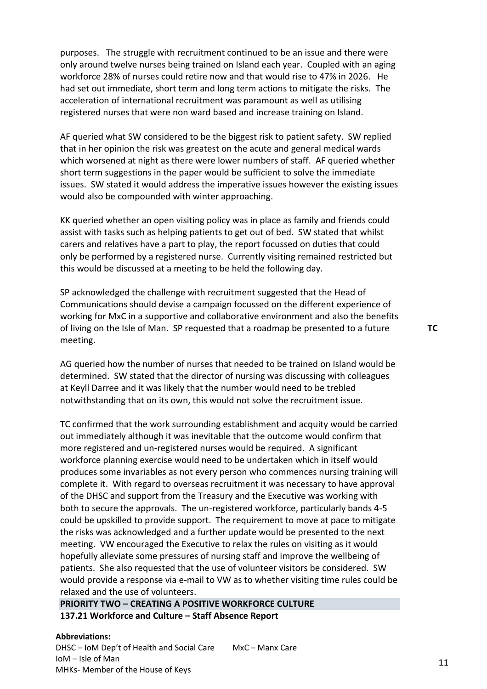purposes. The struggle with recruitment continued to be an issue and there were only around twelve nurses being trained on Island each year. Coupled with an aging workforce 28% of nurses could retire now and that would rise to 47% in 2026. He had set out immediate, short term and long term actions to mitigate the risks. The acceleration of international recruitment was paramount as well as utilising registered nurses that were non ward based and increase training on Island.

AF queried what SW considered to be the biggest risk to patient safety. SW replied that in her opinion the risk was greatest on the acute and general medical wards which worsened at night as there were lower numbers of staff. AF queried whether short term suggestions in the paper would be sufficient to solve the immediate issues. SW stated it would address the imperative issues however the existing issues would also be compounded with winter approaching.

KK queried whether an open visiting policy was in place as family and friends could assist with tasks such as helping patients to get out of bed. SW stated that whilst carers and relatives have a part to play, the report focussed on duties that could only be performed by a registered nurse. Currently visiting remained restricted but this would be discussed at a meeting to be held the following day.

SP acknowledged the challenge with recruitment suggested that the Head of Communications should devise a campaign focussed on the different experience of working for MxC in a supportive and collaborative environment and also the benefits of living on the Isle of Man. SP requested that a roadmap be presented to a future meeting.

AG queried how the number of nurses that needed to be trained on Island would be determined. SW stated that the director of nursing was discussing with colleagues at Keyll Darree and it was likely that the number would need to be trebled notwithstanding that on its own, this would not solve the recruitment issue.

TC confirmed that the work surrounding establishment and acquity would be carried out immediately although it was inevitable that the outcome would confirm that more registered and un-registered nurses would be required. A significant workforce planning exercise would need to be undertaken which in itself would produces some invariables as not every person who commences nursing training will complete it. With regard to overseas recruitment it was necessary to have approval of the DHSC and support from the Treasury and the Executive was working with both to secure the approvals. The un-registered workforce, particularly bands 4-5 could be upskilled to provide support. The requirement to move at pace to mitigate the risks was acknowledged and a further update would be presented to the next meeting. VW encouraged the Executive to relax the rules on visiting as it would hopefully alleviate some pressures of nursing staff and improve the wellbeing of patients. She also requested that the use of volunteer visitors be considered. SW would provide a response via e-mail to VW as to whether visiting time rules could be relaxed and the use of volunteers.

**PRIORITY TWO – CREATING A POSITIVE WORKFORCE CULTURE 137.21 Workforce and Culture – Staff Absence Report**

#### **Abbreviations:**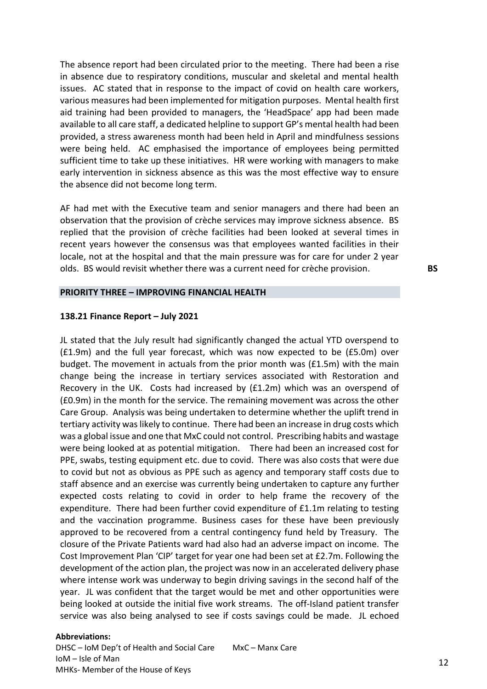The absence report had been circulated prior to the meeting. There had been a rise in absence due to respiratory conditions, muscular and skeletal and mental health issues. AC stated that in response to the impact of covid on health care workers, various measures had been implemented for mitigation purposes. Mental health first aid training had been provided to managers, the 'HeadSpace' app had been made available to all care staff, a dedicated helpline to support GP's mental health had been provided, a stress awareness month had been held in April and mindfulness sessions were being held. AC emphasised the importance of employees being permitted sufficient time to take up these initiatives. HR were working with managers to make early intervention in sickness absence as this was the most effective way to ensure the absence did not become long term.

AF had met with the Executive team and senior managers and there had been an observation that the provision of crèche services may improve sickness absence. BS replied that the provision of crèche facilities had been looked at several times in recent years however the consensus was that employees wanted facilities in their locale, not at the hospital and that the main pressure was for care for under 2 year olds. BS would revisit whether there was a current need for crèche provision. **BS**

# **PRIORITY THREE – IMPROVING FINANCIAL HEALTH**

#### **138.21 Finance Report – July 2021**

JL stated that the July result had significantly changed the actual YTD overspend to (£1.9m) and the full year forecast, which was now expected to be (£5.0m) over budget. The movement in actuals from the prior month was (£1.5m) with the main change being the increase in tertiary services associated with Restoration and Recovery in the UK. Costs had increased by (£1.2m) which was an overspend of (£0.9m) in the month for the service. The remaining movement was across the other Care Group. Analysis was being undertaken to determine whether the uplift trend in tertiary activity was likely to continue. There had been an increase in drug costs which was a global issue and one that MxC could not control. Prescribing habits and wastage were being looked at as potential mitigation. There had been an increased cost for PPE, swabs, testing equipment etc. due to covid. There was also costs that were due to covid but not as obvious as PPE such as agency and temporary staff costs due to staff absence and an exercise was currently being undertaken to capture any further expected costs relating to covid in order to help frame the recovery of the expenditure. There had been further covid expenditure of £1.1m relating to testing and the vaccination programme. Business cases for these have been previously approved to be recovered from a central contingency fund held by Treasury. The closure of the Private Patients ward had also had an adverse impact on income. The Cost Improvement Plan 'CIP' target for year one had been set at £2.7m. Following the development of the action plan, the project was now in an accelerated delivery phase where intense work was underway to begin driving savings in the second half of the year. JL was confident that the target would be met and other opportunities were being looked at outside the initial five work streams. The off-Island patient transfer service was also being analysed to see if costs savings could be made. JL echoed

### **Abbreviations:**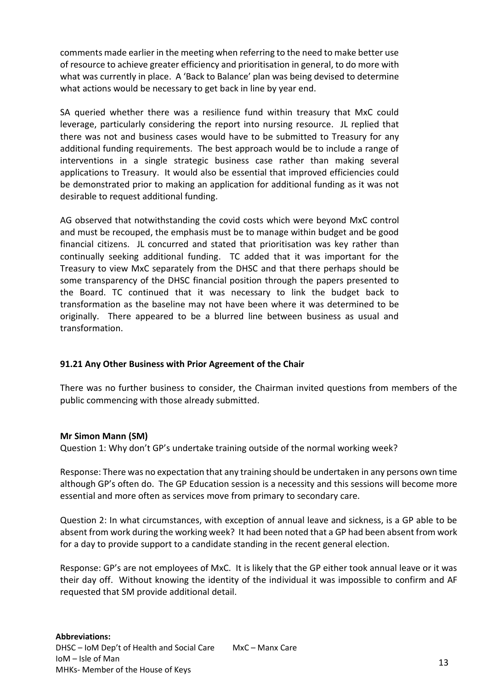comments made earlier in the meeting when referring to the need to make better use of resource to achieve greater efficiency and prioritisation in general, to do more with what was currently in place. A 'Back to Balance' plan was being devised to determine what actions would be necessary to get back in line by year end.

SA queried whether there was a resilience fund within treasury that MxC could leverage, particularly considering the report into nursing resource. JL replied that there was not and business cases would have to be submitted to Treasury for any additional funding requirements. The best approach would be to include a range of interventions in a single strategic business case rather than making several applications to Treasury. It would also be essential that improved efficiencies could be demonstrated prior to making an application for additional funding as it was not desirable to request additional funding.

AG observed that notwithstanding the covid costs which were beyond MxC control and must be recouped, the emphasis must be to manage within budget and be good financial citizens. JL concurred and stated that prioritisation was key rather than continually seeking additional funding. TC added that it was important for the Treasury to view MxC separately from the DHSC and that there perhaps should be some transparency of the DHSC financial position through the papers presented to the Board. TC continued that it was necessary to link the budget back to transformation as the baseline may not have been where it was determined to be originally. There appeared to be a blurred line between business as usual and transformation.

# **91.21 Any Other Business with Prior Agreement of the Chair**

There was no further business to consider, the Chairman invited questions from members of the public commencing with those already submitted.

# **Mr Simon Mann (SM)**

Question 1: Why don't GP's undertake training outside of the normal working week?

Response: There was no expectation that any training should be undertaken in any persons own time although GP's often do. The GP Education session is a necessity and this sessions will become more essential and more often as services move from primary to secondary care.

Question 2: In what circumstances, with exception of annual leave and sickness, is a GP able to be absent from work during the working week? It had been noted that a GP had been absent from work for a day to provide support to a candidate standing in the recent general election.

Response: GP's are not employees of MxC. It is likely that the GP either took annual leave or it was their day off. Without knowing the identity of the individual it was impossible to confirm and AF requested that SM provide additional detail.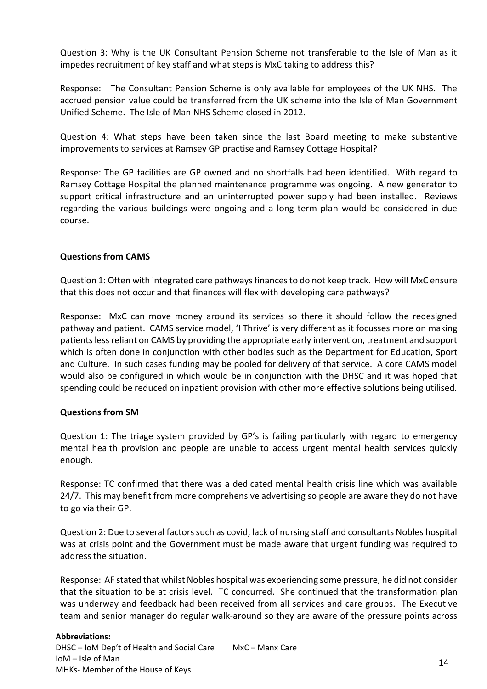Question 3: Why is the UK Consultant Pension Scheme not transferable to the Isle of Man as it impedes recruitment of key staff and what steps is MxC taking to address this?

Response: The Consultant Pension Scheme is only available for employees of the UK NHS. The accrued pension value could be transferred from the UK scheme into the Isle of Man Government Unified Scheme. The Isle of Man NHS Scheme closed in 2012.

Question 4: What steps have been taken since the last Board meeting to make substantive improvements to services at Ramsey GP practise and Ramsey Cottage Hospital?

Response: The GP facilities are GP owned and no shortfalls had been identified. With regard to Ramsey Cottage Hospital the planned maintenance programme was ongoing. A new generator to support critical infrastructure and an uninterrupted power supply had been installed. Reviews regarding the various buildings were ongoing and a long term plan would be considered in due course.

# **Questions from CAMS**

Question 1: Often with integrated care pathways finances to do not keep track. How will MxC ensure that this does not occur and that finances will flex with developing care pathways?

Response: MxC can move money around its services so there it should follow the redesigned pathway and patient. CAMS service model, 'I Thrive' is very different as it focusses more on making patients less reliant on CAMS by providing the appropriate early intervention, treatment and support which is often done in conjunction with other bodies such as the Department for Education, Sport and Culture. In such cases funding may be pooled for delivery of that service. A core CAMS model would also be configured in which would be in conjunction with the DHSC and it was hoped that spending could be reduced on inpatient provision with other more effective solutions being utilised.

# **Questions from SM**

Question 1: The triage system provided by GP's is failing particularly with regard to emergency mental health provision and people are unable to access urgent mental health services quickly enough.

Response: TC confirmed that there was a dedicated mental health crisis line which was available 24/7. This may benefit from more comprehensive advertising so people are aware they do not have to go via their GP.

Question 2: Due to several factors such as covid, lack of nursing staff and consultants Nobles hospital was at crisis point and the Government must be made aware that urgent funding was required to address the situation.

Response: AF stated that whilst Nobles hospital was experiencing some pressure, he did not consider that the situation to be at crisis level. TC concurred. She continued that the transformation plan was underway and feedback had been received from all services and care groups. The Executive team and senior manager do regular walk-around so they are aware of the pressure points across